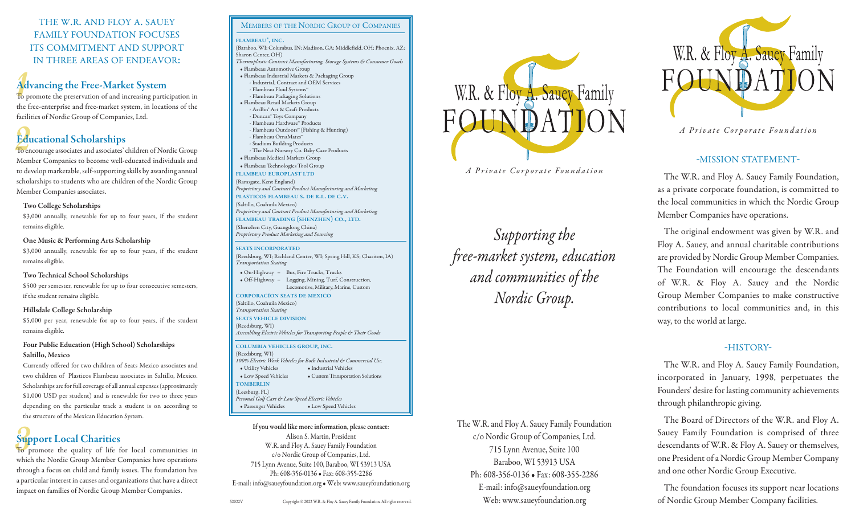# THE W.R. AND FLOY A. SAUEY FAMILY FOUNDATION FOCUSES ITS COMMITMENT AND SUPPORT IN THREE AREAS OF ENDEAVOR:

# **1 Advancing the Free-Market System**

To promote the preservation of and increasing participation in the free-enterprise and free-market system, in locations of the facilities of Nordic Group of Companies, Ltd.

# **2 Educational Scholarships**

To encourage associates and associates' children of Nordic Group Member Companies to become well-educated individuals and to develop marketable, self-supporting skills by awarding annual scholarships to students who are children of the Nordic Group Member Companies associates.

## **Two College Scholarships**

 \$3,000 annually, renewable for up to four years, if the student remains eligible.

## **One Music & Performing Arts Scholarship**

 \$3,000 annually, renewable for up to four years, if the student remains eligible.

## **Two Technical School Scholarships**

 \$500 per semester, renewable for up to four consecutive semesters, if the student remains eligible.

## **Hillsdale College Scholarship**

 \$5,000 per year, renewable for up to four years, if the student remains eligible.

## **Four Public Education (High School) Scholarships Saltillo, Mexico**

 Currently offered for two children of Seats Mexico associates and two children of Plasticos Flambeau associates in Saltillo, Mexico. Scholarships are for full coverage of all annual expenses (approximately \$1,000 USD per student) and is renewable for two to three years depending on the particular track a student is on according to the structure of the Mexican Education System.

# **Support Local Charities**

To promote the quality of life for local communities in which the Nordic Group Member Companies have operations through a focus on child and family issues. The foundation has a particular interest in causes and organizations that have a direct impact on families of Nordic Group Member Companies.

## MEMBERS OF THE NORDIC GROUP OF COMPANIES

## **FLAMBEAU®, INC.**

(Baraboo, WI; Columbus, IN; Madison, GA; Middlefield, OH; Phoenix, AZ; Sharon Center, OH) *Thermoplastic Contract Manufacturing, Storage Systems & Consumer Goods*

- Flambeau Automotive Group • Flambeau Industrial Markets & Packaging Group
- Industrial, Contract and OEM Services - Flambeau Fluid Systems™ - Flambeau Packaging Solutions • Flambeau Retail Markets Group - ArtBin® Art & Craft Products - Duncan® Toys Company
- Flambeau Hardware™ Products - Flambeau Outdoors™ (Fishing & Hunting) - Flambeau OrnaMates™ - Stadium Building Products
- The Neat Nursery Co. Baby Care Products • Flambeau Medical Markets Group
- Flambeau Technologies Tool Group **FLAMBEAU EUROPLAST LTD**

(Ramsgate, Kent England) *Proprietary and Contract Product Manufacturing and Marketing* **PLASTICOS FLAMBEAU S. DE R.L. DE C.V.**

(Saltillo, Coahuila Mexico) *Proprietary and Contract Product Manufacturing and Marketing* **FLAMBEAU TRADING (SHENZHEN) CO., LTD.** (Shenzhen City, Guangdong China) *Proprietary Product Marketing and Sourcing*

## **SEATS INCORPORATED**

(Reedsburg, WI; Richland Center, WI; Spring Hill, KS; Chariton, IA) *Transportation Seating*

 • On-Highway – Bus, Fire Trucks, Trucks • Off-Highway – Logging, Mining, Turf, Construction, Locomotive, Military, Marine, Custom

**CORPORACÍON SEATS DE MEXICO** (Saltillo, Coahuila Mexico) *Transportation Seating*

**SEATS VEHICLE DIVISION** (Reedsburg, WI) *Assembling Electric Vehicles for Transporting People & Their Goods*

### **COLUMBIA VEHICLES GROUP, INC.** (Reedsburg, WI)

*100% Electric Work Vehicles for Both Industrial & Commercial Use.* • Utility Vehicles • Industrial Vehicles • Low Speed Vehicles • Custom Transportation Solutions **TOMBERLIN** (Leesburg, FL) *Personal Golf Cart & Low Speed Electric Vehicles* • Passenger Vehicles • Low Speed Vehicles

**If you would like more information, please contact:** Alison S. Martin, President W.R. and Floy A. Sauey Family Foundation c/o Nordic Group of Companies, Ltd. 715 Lynn Avenue, Suite 100, Baraboo, WI 53913 USA Ph: 608-356-0136 • Fax: 608-355-2286 E-mail: info@saueyfoundation.org • Web: www.saueyfoundation.org



The W.R. and Floy A. Sauey Family Foundation c/o Nordic Group of Companies, Ltd. 715 Lynn Avenue, Suite 100 Baraboo, WI 53913 USA Ph: 608-356-0136 • Fax: 608-355-2286 E-mail: info@saueyfoundation.org Web: www.saueyfoundation.org

*Supporting the* 

*A Private Corporate Foundation*

W.R. & Floy A. Sauey Family

FOUNDAT

*free-market system, education*

*and communities of the*

*Nordic Group.*



*A Private Corporate Foundation*

# -MISSION STATEMENT-

 The W.R. and Floy A. Sauey Family Foundation, as a private corporate foundation, is committed to the local communities in which the Nordic Group Member Companies have operations.

 The original endowment was given by W.R. and Floy A. Sauey, and annual charitable contributions are provided by Nordic Group Member Companies. The Foundation will encourage the descendants of W.R. & Floy A. Sauey and the Nordic Group Member Companies to make constructive contributions to local communities and, in this way, to the world at large.

# -HISTORY-

 The W.R. and Floy A. Sauey Family Foundation, incorporated in January, 1998, perpetuates the Founders' desire for lasting community achievements through philanthropic giving.

 The Board of Directors of the W.R. and Floy A. Sauey Family Foundation is comprised of three descendants of W.R. & Floy A. Sauey or themselves, one President of a Nordic Group Member Company and one other Nordic Group Executive.

 The foundation focuses its support near locations of Nordic Group Member Company facilities.